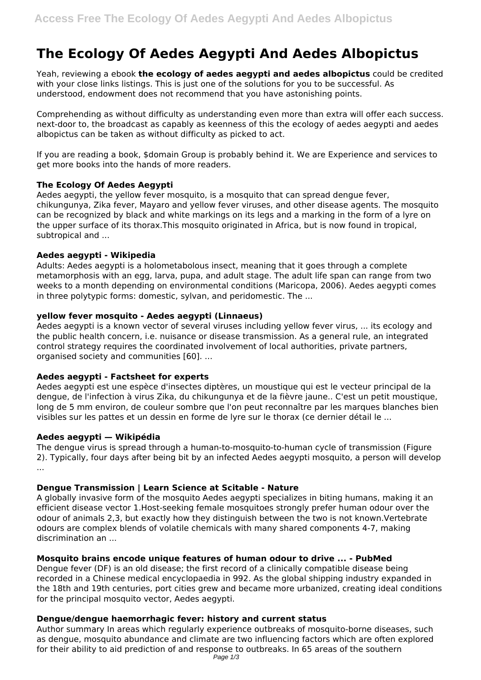# **The Ecology Of Aedes Aegypti And Aedes Albopictus**

Yeah, reviewing a ebook **the ecology of aedes aegypti and aedes albopictus** could be credited with your close links listings. This is just one of the solutions for you to be successful. As understood, endowment does not recommend that you have astonishing points.

Comprehending as without difficulty as understanding even more than extra will offer each success. next-door to, the broadcast as capably as keenness of this the ecology of aedes aegypti and aedes albopictus can be taken as without difficulty as picked to act.

If you are reading a book, \$domain Group is probably behind it. We are Experience and services to get more books into the hands of more readers.

# **The Ecology Of Aedes Aegypti**

Aedes aegypti, the yellow fever mosquito, is a mosquito that can spread dengue fever, chikungunya, Zika fever, Mayaro and yellow fever viruses, and other disease agents. The mosquito can be recognized by black and white markings on its legs and a marking in the form of a lyre on the upper surface of its thorax.This mosquito originated in Africa, but is now found in tropical, subtropical and ...

## **Aedes aegypti - Wikipedia**

Adults: Aedes aegypti is a holometabolous insect, meaning that it goes through a complete metamorphosis with an egg, larva, pupa, and adult stage. The adult life span can range from two weeks to a month depending on environmental conditions (Maricopa, 2006). Aedes aegypti comes in three polytypic forms: domestic, sylvan, and peridomestic. The ...

## **yellow fever mosquito - Aedes aegypti (Linnaeus)**

Aedes aegypti is a known vector of several viruses including yellow fever virus, ... its ecology and the public health concern, i.e. nuisance or disease transmission. As a general rule, an integrated control strategy requires the coordinated involvement of local authorities, private partners, organised society and communities [60]. ...

# **Aedes aegypti - Factsheet for experts**

Aedes aegypti est une espèce d'insectes diptères, un moustique qui est le vecteur principal de la dengue, de l'infection à virus Zika, du chikungunya et de la fièvre jaune.. C'est un petit moustique, long de 5 mm environ, de couleur sombre que l'on peut reconnaître par les marques blanches bien visibles sur les pattes et un dessin en forme de lyre sur le thorax (ce dernier détail le ...

#### **Aedes aegypti — Wikipédia**

The dengue virus is spread through a human-to-mosquito-to-human cycle of transmission (Figure 2). Typically, four days after being bit by an infected Aedes aegypti mosquito, a person will develop ...

# **Dengue Transmission | Learn Science at Scitable - Nature**

A globally invasive form of the mosquito Aedes aegypti specializes in biting humans, making it an efficient disease vector 1.Host-seeking female mosquitoes strongly prefer human odour over the odour of animals 2,3, but exactly how they distinguish between the two is not known.Vertebrate odours are complex blends of volatile chemicals with many shared components 4-7, making discrimination an ...

# **Mosquito brains encode unique features of human odour to drive ... - PubMed**

Dengue fever (DF) is an old disease; the first record of a clinically compatible disease being recorded in a Chinese medical encyclopaedia in 992. As the global shipping industry expanded in the 18th and 19th centuries, port cities grew and became more urbanized, creating ideal conditions for the principal mosquito vector, Aedes aegypti.

# **Dengue/dengue haemorrhagic fever: history and current status**

Author summary In areas which regularly experience outbreaks of mosquito-borne diseases, such as dengue, mosquito abundance and climate are two influencing factors which are often explored for their ability to aid prediction of and response to outbreaks. In 65 areas of the southern Page  $1/3$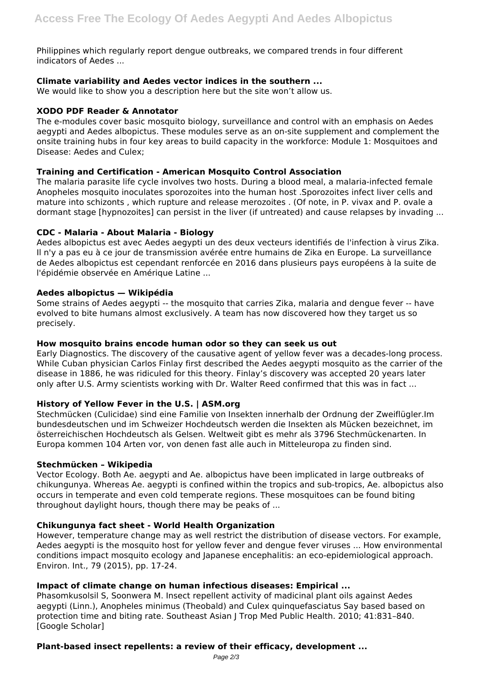Philippines which regularly report dengue outbreaks, we compared trends in four different indicators of Aedes ...

## **Climate variability and Aedes vector indices in the southern ...**

We would like to show you a description here but the site won't allow us.

#### **XODO PDF Reader & Annotator**

The e-modules cover basic mosquito biology, surveillance and control with an emphasis on Aedes aegypti and Aedes albopictus. These modules serve as an on-site supplement and complement the onsite training hubs in four key areas to build capacity in the workforce: Module 1: Mosquitoes and Disease: Aedes and Culex;

## **Training and Certification - American Mosquito Control Association**

The malaria parasite life cycle involves two hosts. During a blood meal, a malaria-infected female Anopheles mosquito inoculates sporozoites into the human host .Sporozoites infect liver cells and mature into schizonts , which rupture and release merozoites . (Of note, in P. vivax and P. ovale a dormant stage [hypnozoites] can persist in the liver (if untreated) and cause relapses by invading ...

## **CDC - Malaria - About Malaria - Biology**

Aedes albopictus est avec Aedes aegypti un des deux vecteurs identifiés de l'infection à virus Zika. Il n'y a pas eu à ce jour de transmission avérée entre humains de Zika en Europe. La surveillance de Aedes albopictus est cependant renforcée en 2016 dans plusieurs pays européens à la suite de l'épidémie observée en Amérique Latine ...

## **Aedes albopictus — Wikipédia**

Some strains of Aedes aegypti -- the mosquito that carries Zika, malaria and dengue fever -- have evolved to bite humans almost exclusively. A team has now discovered how they target us so precisely.

#### **How mosquito brains encode human odor so they can seek us out**

Early Diagnostics. The discovery of the causative agent of yellow fever was a decades-long process. While Cuban physician Carlos Finlay first described the Aedes aegypti mosquito as the carrier of the disease in 1886, he was ridiculed for this theory. Finlay's discovery was accepted 20 years later only after U.S. Army scientists working with Dr. Walter Reed confirmed that this was in fact ...

# **History of Yellow Fever in the U.S. | ASM.org**

Stechmücken (Culicidae) sind eine Familie von Insekten innerhalb der Ordnung der Zweiflügler.Im bundesdeutschen und im Schweizer Hochdeutsch werden die Insekten als Mücken bezeichnet, im österreichischen Hochdeutsch als Gelsen. Weltweit gibt es mehr als 3796 Stechmückenarten. In Europa kommen 104 Arten vor, von denen fast alle auch in Mitteleuropa zu finden sind.

#### **Stechmücken – Wikipedia**

Vector Ecology. Both Ae. aegypti and Ae. albopictus have been implicated in large outbreaks of chikungunya. Whereas Ae. aegypti is confined within the tropics and sub-tropics, Ae. albopictus also occurs in temperate and even cold temperate regions. These mosquitoes can be found biting throughout daylight hours, though there may be peaks of ...

#### **Chikungunya fact sheet - World Health Organization**

However, temperature change may as well restrict the distribution of disease vectors. For example, Aedes aegypti is the mosquito host for yellow fever and dengue fever viruses ... How environmental conditions impact mosquito ecology and Japanese encephalitis: an eco-epidemiological approach. Environ. Int., 79 (2015), pp. 17-24.

# **Impact of climate change on human infectious diseases: Empirical ...**

Phasomkusolsil S, Soonwera M. Insect repellent activity of madicinal plant oils against Aedes aegypti (Linn.), Anopheles minimus (Theobald) and Culex quinquefasciatus Say based based on protection time and biting rate. Southeast Asian J Trop Med Public Health. 2010; 41:831–840. [Google Scholar]

#### **Plant-based insect repellents: a review of their efficacy, development ...**